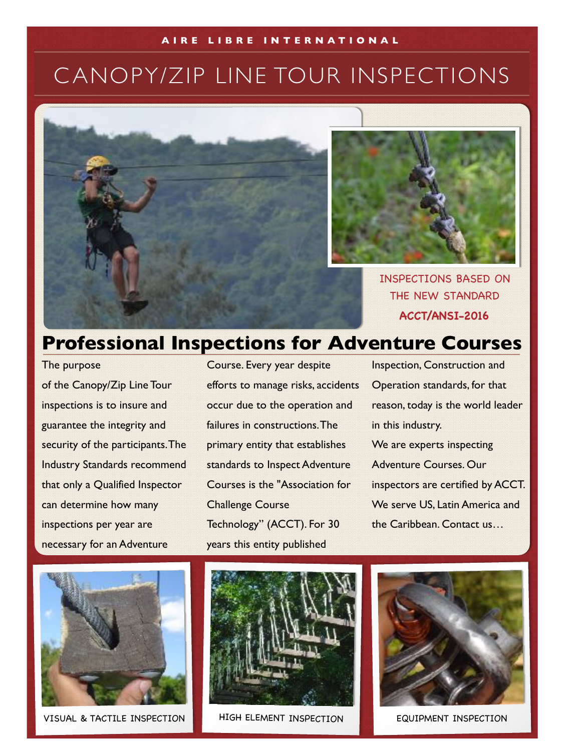#### **AIRE LIBRE INTERNATIONAL**

# C ANOPY/ZIP LINE TOUR INSPECTIONS





INSPECTIONS BASED ON THE NEW STANDARD **ACCT/ANSI-2016**

### **Professional Inspections for Adventure Courses**

The purpose of the Canopy/Zip Line Tour inspections is to insure and guarantee the integrity and security of the participants. The Industry Standards recommend that only a Qualified Inspector can determine how many inspections per year are necessary for an Adventure

Course. Every year despite efforts to manage risks, accidents occur due to the operation and failures in constructions. The primary entity that establishes standards to Inspect Adventure Courses is the "Association for Challenge Course Technology" (ACCT). For 30 years this entity published

Inspection, Construction and Operation standards, for that reason, today is the world leader in this industry. We are experts inspecting Adventure Courses. Our inspectors are certified by ACCT. We serve US, Latin America and the Caribbean. Contact us…



VISUAL & TACTILE INSPECTION HIGH ELEMENT INSPECTION EQUIPMENT INSPECTION



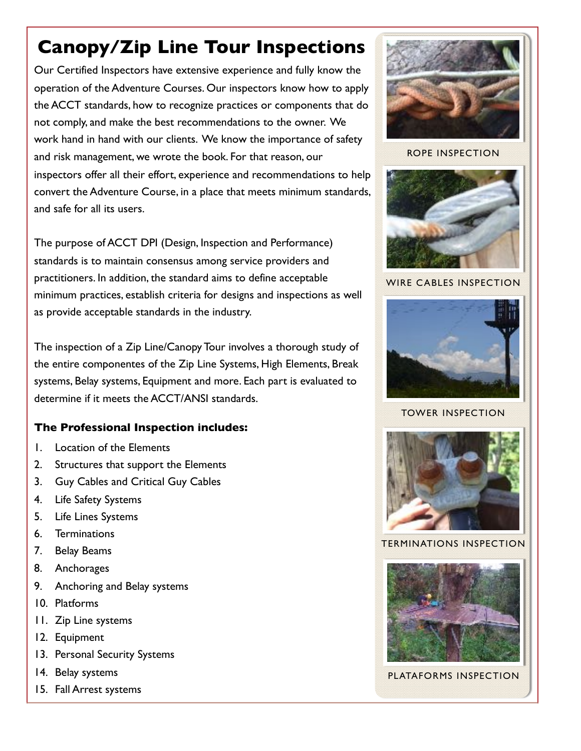## **Canopy/Zip Line Tour Inspections**

Our Certified Inspectors have extensive experience and fully know the operation of the Adventure Courses. Our inspectors know how to apply the ACCT standards, how to recognize practices or components that do not comply, and make the best recommendations to the owner. We work hand in hand with our clients. We know the importance of safety and risk management, we wrote the book. For that reason, our inspectors offer all their effort, experience and recommendations to help convert the Adventure Course, in a place that meets minimum standards, and safe for all its users.

The purpose of ACCT DPI (Design, Inspection and Performance) standards is to maintain consensus among service providers and practitioners. In addition, the standard aims to define acceptable minimum practices, establish criteria for designs and inspections as well as provide acceptable standards in the industry.

The inspection of a Zip Line/Canopy Tour involves a thorough study of the entire componentes of the Zip Line Systems, High Elements, Break systems, Belay systems, Equipment and more. Each part is evaluated to determine if it meets the ACCT/ANSI standards.

#### **The Professional Inspection includes:**

- 1. Location of the Elements
- 2. Structures that support the Elements
- 3. Guy Cables and Critical Guy Cables
- 4. Life Safety Systems
- 5. Life Lines Systems
- 6. Terminations
- 7. Belay Beams
- 8. Anchorages
- 9. Anchoring and Belay systems
- 10. Platforms
- 11. Zip Line systems
- 12. Equipment
- 13. Personal Security Systems
- 14. Belay systems
- 15. Fall Arrest systems



ROPE INSPECTION



WIRE CABLES INSPECTION



TOWER INSPECTION



TERMINATIONS INSPECTION



PLATAFORMS INSPECTION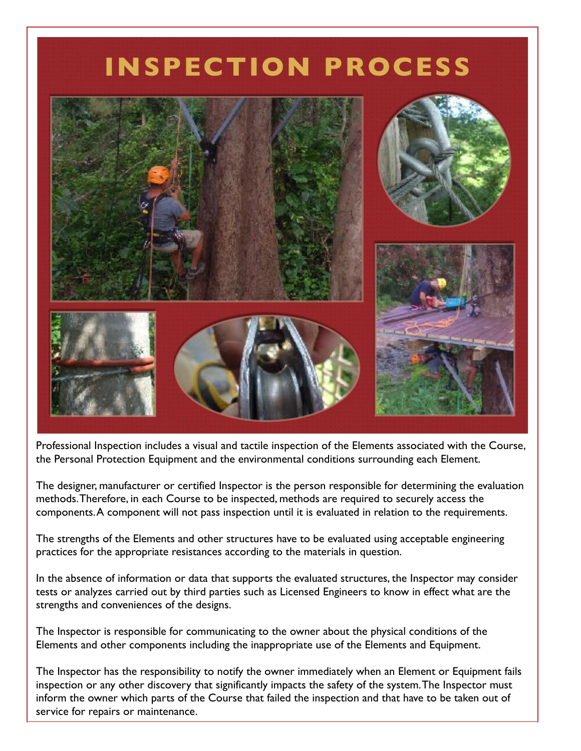# **INSPECTION PROCESS**



Professional Inspection includes a visual and tactile inspection of the Elements associated with the Course, the Personal Protection Equipment and the environmental conditions surrounding each Element.

The designer, manufacturer or certified Inspector is the person responsible for determining the evaluation methods. Therefore, in each Course to be inspected, methods are required to securely access the components. A component will not pass inspection until it is evaluated in relation to the requirements.

The strengths of the Elements and other structures have to be evaluated using acceptable engineering practices for the appropriate resistances according to the materials in question.

In the absence of information or data that supports the evaluated structures, the Inspector may consider tests or analyzes carried out by third parties such as Licensed Engineers to know in effect what are the strengths and conveniences of the designs.

The Inspector is responsible for communicating to the owner about the physical conditions of the Elements and other components including the inappropriate use of the Elements and Equipment.

The Inspector has the responsibility to notify the owner immediately when an Element or Equipment fails inspection or any other discovery that significantly impacts the safety of the system. The Inspector must inform the owner which parts of the Course that failed the inspection and that have to be taken out of service for repairs or maintenance.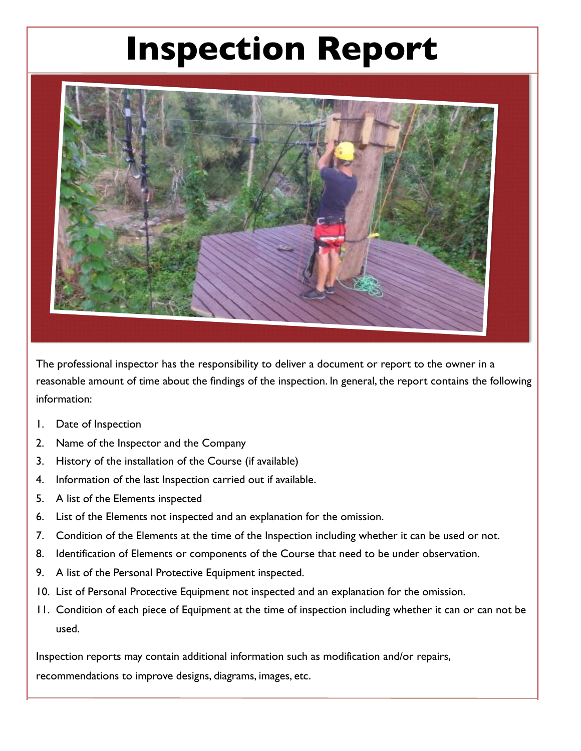# **Inspection Report**



The professional inspector has the responsibility to deliver a document or report to the owner in a reasonable amount of time about the findings of the inspection. In general, the report contains the following information:

- 1. Date of Inspection
- 2. Name of the Inspector and the Company
- 3. History of the installation of the Course (if available)
- 4. Information of the last Inspection carried out if available.
- 5. A list of the Elements inspected
- 6. List of the Elements not inspected and an explanation for the omission.
- 7. Condition of the Elements at the time of the Inspection including whether it can be used or not.
- 8. Identification of Elements or components of the Course that need to be under observation.
- 9. A list of the Personal Protective Equipment inspected.
- 10. List of Personal Protective Equipment not inspected and an explanation for the omission.
- 11. Condition of each piece of Equipment at the time of inspection including whether it can or can not be used.

Inspection reports may contain additional information such as modification and/or repairs, recommendations to improve designs, diagrams, images, etc.